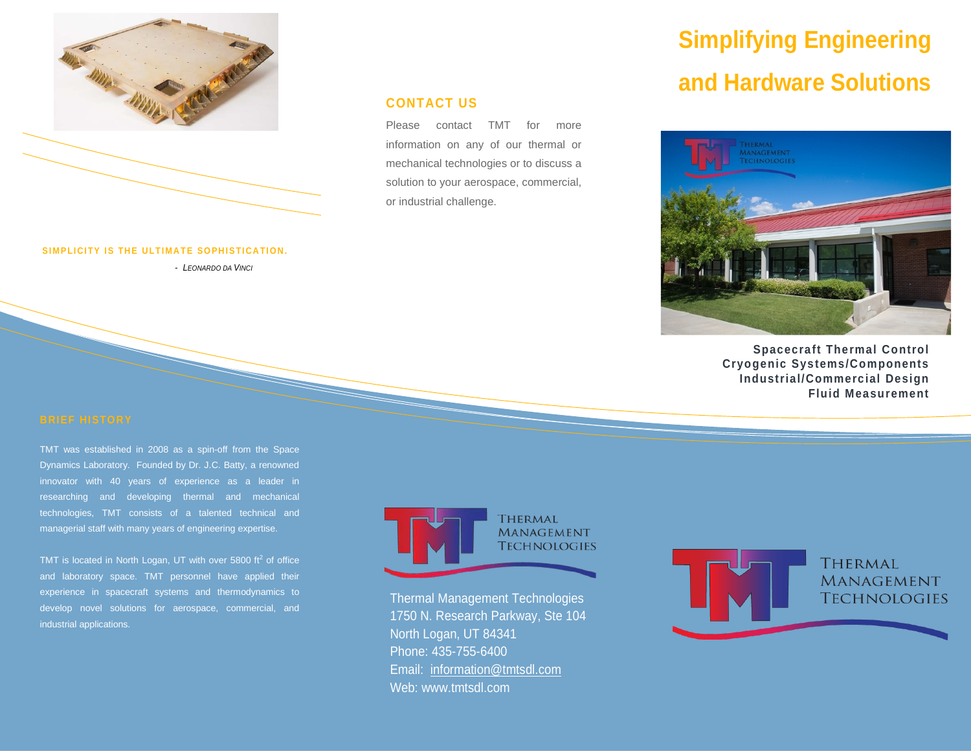

### **SIMPLICITY IS THE ULTIMATE SOPHISTICATION.**

*- LEONARDO DA VINCI*

### **CONTACT US**

Please contact TMT for more information on any of our thermal or mechanical technologies or to discuss a solution to your aerospace, commercial, or industrial challenge.

# **Simplifying Engineering and Hardware Solutions**



**Spacecraft Thermal Control Cryogenic Systems/Components Industrial/Commercial Design Fluid Measurement**

TMT was established in 2008 as a spin-off from the Space Dynamics Laboratory. Founded by Dr. J.C. Batty, a renowned innovator with 40 years of experience as a leader in researching and developing thermal and mechanical technologies, TMT consists of a talented technical and managerial staff with many years of engineering expertise.

TMT is located in North Logan, UT with over 5800  $ft<sup>2</sup>$  of office and laboratory space. TMT personnel have applied their experience in spacecraft systems and thermodynamics to develop novel solutions for aerospace, commercial, and industrial applications.



Thermal Management Technologies 1750 N. Research Parkway, Ste 104 North Logan, UT 84341 Phone: 435-755-6400 Email: [information@tmtsdl.com](mailto:information@tmtsdl.com) Web: www.tmtsdl.com